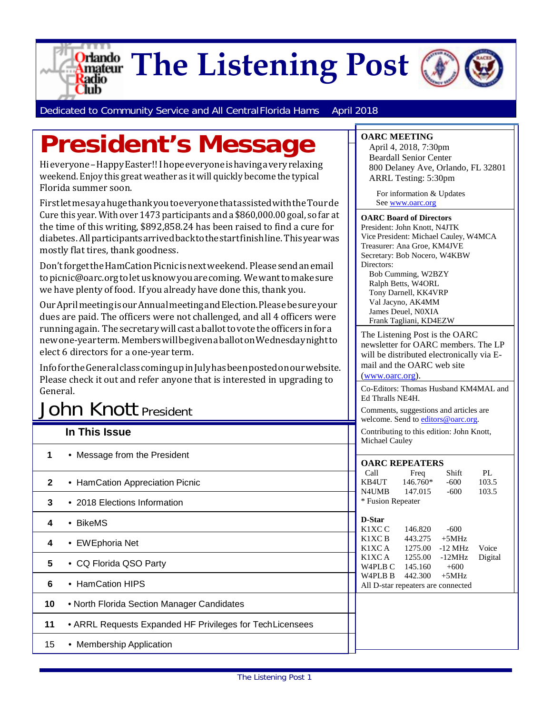

Dedicated to Community Service and All Central Florida Hams April 2018

# **President's Message**

Hieveryone–HappyEaster!! Ihopeeveryoneishavingaveryrelaxing weekend. Enjoy this great weather as it will quickly become the typical Florida summer soon.

FirstletmesayahugethankyoutoeveryonethatassistedwiththeTourde Cure this year. With over 1473 participants and a \$860,000.00 goal, so far at the time of this writing, \$892,858.24 has been raised to find a cure for diabetes.Allparticipantsarrivedbacktothestartfinishline.Thisyearwas mostly flat tires, thank goodness.

Don't forget the HamCation Picnic is next weekend. Please send an email t[opicnic@oarc.orgt](mailto:picnic@oarc.org)oletusknowyouarecoming. Wewanttomakesure we have plenty of food. If you already have done this, thank you.

OurAprilmeetingisourAnnualmeetingandElection.Pleasebesureyour dues are paid. The officers were not challenged, and all 4 officers were runningagain. Thesecretarywill castaballottovotetheofficers infora newone-yearterm. MemberswillbegivenaballotonWednesdaynightto elect 6 directors for a one-year term.

InfofortheGeneralclasscomingupinJulyhasbeenpostedonourwebsite. Please check it out and refer anyone that is interested in upgrading to General.

## John Knott President

|              |                                                           |                                                             |                    | welcome. Send to <b>editors</b> @ oarc.org. |             |
|--------------|-----------------------------------------------------------|-------------------------------------------------------------|--------------------|---------------------------------------------|-------------|
|              | In This Issue                                             | Contributing to this edition: John Knott,<br>Michael Cauley |                    |                                             |             |
| 1            | • Message from the President                              | <b>OARC REPEATERS</b>                                       |                    |                                             |             |
| $\mathbf{2}$ | • HamCation Appreciation Picnic                           | Call<br>KB4UT                                               | Freq<br>146.760*   | Shift<br>$-600$                             | PL<br>103.5 |
| 3            | • 2018 Elections Information                              | N4UMB<br>103.5<br>147.015<br>$-600$<br>* Fusion Repeater    |                    |                                             |             |
| 4            | • BikeMS                                                  | D-Star<br>K1XC C                                            | 146.820            | $-600$                                      |             |
| 4            | • EWEphoria Net                                           | K1XC B<br>K1XC A                                            | 443.275<br>1275.00 | $+5MHz$<br>$-12$ MHz                        | Voice       |
| 5            | • CQ Florida QSO Party                                    | K1XC A<br>W4PLB C                                           | 1255.00<br>145.160 | $-12MHz$<br>$+600$                          | Digital     |
| 6            | • HamCation HIPS                                          | W4PLB B<br>All D-star repeaters are connected               | 442.300            | $+5MHz$                                     |             |
| 10           | • North Florida Section Manager Candidates                |                                                             |                    |                                             |             |
| 11           | • ARRL Requests Expanded HF Privileges for Tech Licensees |                                                             |                    |                                             |             |
| 15           | • Membership Application                                  |                                                             |                    |                                             |             |

April 4, 2018, 7:30pm Beardall Senior Center 800 Delaney Ave, Orlando, FL 32801 ARRL Testing: 5:30pm

 For information & Updates Se[e www.oarc.org](http://www.oarc.org/)

#### **OARC Board of Directors**

President: John Knott, N4JTK Vice President: Michael Cauley, W4MCA Treasurer: Ana Groe, KM4JVE Secretary: Bob Nocero, W4KBW Directors: Bob Cumming, W2BZY Ralph Betts, W4ORL Tony Darnell, KK4VRP Val Jacyno, AK4MM James Deuel, N0XIA Frank Tagliani, KD4EZW

The Listening Post is the OARC newsletter for OARC members. The LP will be distributed electronically via Email and the OARC web site [\(www.oarc.org\)](http://www.oarc.org/).

Co-Editors: Thomas Husband KM4MAL and Ed Thralls NE4H.

Comments, suggestions and articles are welcome. Send to *editors@oarc.org*.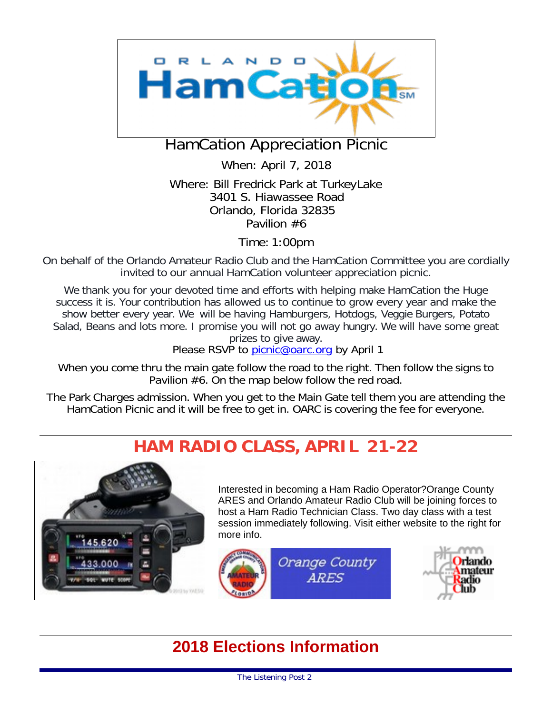

### HamCation Appreciation Picnic

When: April 7, 2018

Where: Bill Fredrick Park at TurkeyLake 3401 S. Hiawassee Road Orlando, Florida 32835 Pavilion #6

Time: 1:00pm

On behalf of the Orlando Amateur Radio Club and the HamCation Committee you are cordially invited to our annual HamCation volunteer appreciation picnic.

We thank you for your devoted time and efforts with helping make HamCation the Huge success it is. Your contribution has allowed us to continue to grow every year and make the show better every year. We will be having Hamburgers, Hotdogs, Veggie Burgers, Potato Salad, Beans and lots more. I promise you will not go away hungry. We will have some great prizes to give away.

Please RSVP to [picnic@oarc.org](mailto:picnic@oarc.org) by April 1

When you come thru the main gate follow the road to the right. Then follow the signs to Pavilion #6. On the map below follow the red road.

The Park Charges admission. When you get to the Main Gate tell them you are attending the HamCation Picnic and it will be free to get in. OARC is covering the fee for everyone.

### **HAM RADIO CLASS, APRIL 21-22**



Interested in becoming a Ham Radio Operator?Orange County ARES and Orlando Amateur Radio Club will be joining forces to host a Ham Radio Technician Class. Two day class with a test session immediately following. Visit either website to the right for more info.



### **2018 Elections Information**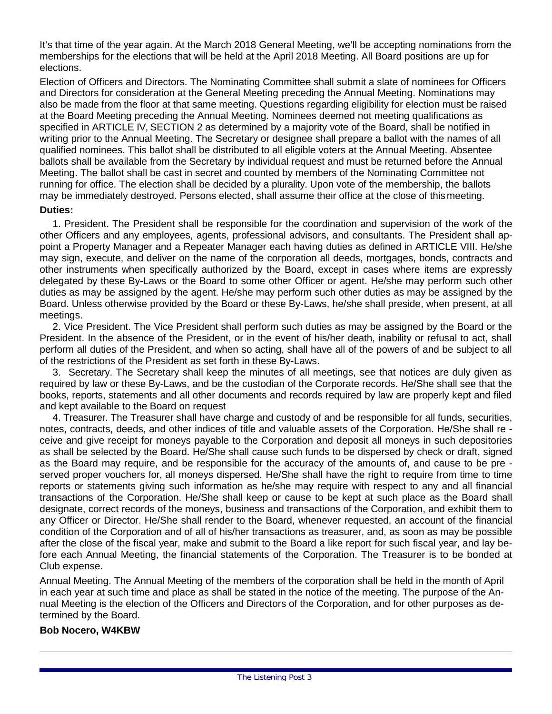It's that time of the year again. At the March 2018 General Meeting, we'll be accepting nominations from the memberships for the elections that will be held at the April 2018 Meeting. All Board positions are up for elections.

Election of Officers and Directors. The Nominating Committee shall submit a slate of nominees for Officers and Directors for consideration at the General Meeting preceding the Annual Meeting. Nominations may also be made from the floor at that same meeting. Questions regarding eligibility for election must be raised at the Board Meeting preceding the Annual Meeting. Nominees deemed not meeting qualifications as specified in ARTICLE IV, SECTION 2 as determined by a majority vote of the Board, shall be notified in writing prior to the Annual Meeting. The Secretary or designee shall prepare a ballot with the names of all qualified nominees. This ballot shall be distributed to all eligible voters at the Annual Meeting. Absentee ballots shall be available from the Secretary by individual request and must be returned before the Annual Meeting. The ballot shall be cast in secret and counted by members of the Nominating Committee not running for office. The election shall be decided by a plurality. Upon vote of the membership, the ballots may be immediately destroyed. Persons elected, shall assume their office at the close of thismeeting. **Duties:**

1. President. The President shall be responsible for the coordination and supervision of the work of the other Officers and any employees, agents, professional advisors, and consultants. The President shall appoint a Property Manager and a Repeater Manager each having duties as defined in ARTICLE VIII. He/she may sign, execute, and deliver on the name of the corporation all deeds, mortgages, bonds, contracts and other instruments when specifically authorized by the Board, except in cases where items are expressly delegated by these By-Laws or the Board to some other Officer or agent. He/she may perform such other duties as may be assigned by the agent. He/she may perform such other duties as may be assigned by the Board. Unless otherwise provided by the Board or these By-Laws, he/she shall preside, when present, at all meetings.

2. Vice President. The Vice President shall perform such duties as may be assigned by the Board or the President. In the absence of the President, or in the event of his/her death, inability or refusal to act, shall perform all duties of the President, and when so acting, shall have all of the powers of and be subject to all of the restrictions of the President as set forth in these By-Laws.

3. Secretary. The Secretary shall keep the minutes of all meetings, see that notices are duly given as required by law or these By-Laws, and be the custodian of the Corporate records. He/She shall see that the books, reports, statements and all other documents and records required by law are properly kept and filed and kept available to the Board on request

4. Treasurer. The Treasurer shall have charge and custody of and be responsible for all funds, securities, notes, contracts, deeds, and other indices of title and valuable assets of the Corporation. He/She shall re ceive and give receipt for moneys payable to the Corporation and deposit all moneys in such depositories as shall be selected by the Board. He/She shall cause such funds to be dispersed by check or draft, signed as the Board may require, and be responsible for the accuracy of the amounts of, and cause to be pre served proper vouchers for, all moneys dispersed. He/She shall have the right to require from time to time reports or statements giving such information as he/she may require with respect to any and all financial transactions of the Corporation. He/She shall keep or cause to be kept at such place as the Board shall designate, correct records of the moneys, business and transactions of the Corporation, and exhibit them to any Officer or Director. He/She shall render to the Board, whenever requested, an account of the financial condition of the Corporation and of all of his/her transactions as treasurer, and, as soon as may be possible after the close of the fiscal year, make and submit to the Board a like report for such fiscal year, and lay before each Annual Meeting, the financial statements of the Corporation. The Treasurer is to be bonded at Club expense.

Annual Meeting. The Annual Meeting of the members of the corporation shall be held in the month of April in each year at such time and place as shall be stated in the notice of the meeting. The purpose of the Annual Meeting is the election of the Officers and Directors of the Corporation, and for other purposes as determined by the Board.

#### **Bob Nocero, W4KBW**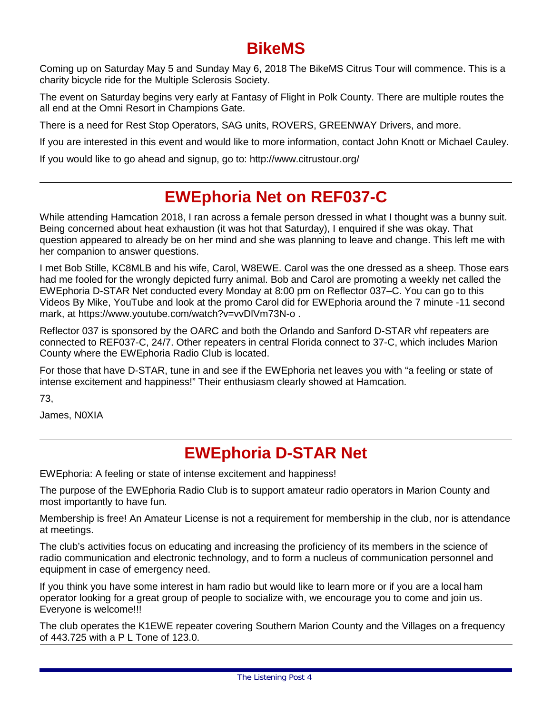### **BikeMS**

Coming up on Saturday May 5 and Sunday May 6, 2018 The BikeMS Citrus Tour will commence. This is a charity bicycle ride for the Multiple Sclerosis Society.

The event on Saturday begins very early at Fantasy of Flight in Polk County. There are multiple routes the all end at the Omni Resort in Champions Gate.

There is a need for Rest Stop Operators, SAG units, ROVERS, GREENWAY Drivers, and more.

If you are interested in this event and would like to more information, contact John Knott or Michael Cauley.

If you would like to go ahead and signup, go to:<http://www.citrustour.org/>

### **EWEphoria Net on REF037-C**

While attending Hamcation 2018, I ran across a female person dressed in what I thought was a bunny suit. Being concerned about heat exhaustion (it was hot that Saturday), I enquired if she was okay. That question appeared to already be on her mind and she was planning to leave and change. This left me with her companion to answer questions.

I met Bob Stille, KC8MLB and his wife, Carol, W8EWE. Carol was the one dressed as a sheep. Those ears had me fooled for the wrongly depicted furry animal. Bob and Carol are promoting a weekly net called the EWEphoria D-STAR Net conducted every Monday at 8:00 pm on Reflector 037–C. You can go to this Videos By Mike, YouTube and look at the promo Carol did for EWEphoria around the 7 minute -11 second mark, at https[://www.youtube.com/watch?v=vvDlVm73N-o .](http://www.youtube.com/watch?v=vvDlVm73N-o)

Reflector 037 is sponsored by the OARC and both the Orlando and Sanford D-STAR vhf repeaters are connected to REF037-C, 24/7. Other repeaters in central Florida connect to 37-C, which includes Marion County where the EWEphoria Radio Club is located.

For those that have D-STAR, tune in and see if the EWEphoria net leaves you with "a feeling or state of intense excitement and happiness!" Their enthusiasm clearly showed at Hamcation.

73,

James, N0XIA

### **EWEphoria D-STAR Net**

EWEphoria: A feeling or state of intense excitement and happiness!

The purpose of the EWEphoria Radio Club is to support amateur radio operators in Marion County and most importantly to have fun.

Membership is free! An Amateur License is not a requirement for membership in the club, nor is attendance at meetings.

The club's activities focus on educating and increasing the proficiency of its members in the science of radio communication and electronic technology, and to form a nucleus of communication personnel and equipment in case of emergency need.

If you think you have some interest in ham radio but would like to learn more or if you are a local ham operator looking for a great group of people to socialize with, we encourage you to come and join us. Everyone is welcome!!!

The club operates the K1EWE repeater covering Southern Marion County and the Villages on a frequency of 443.725 with a P L Tone of 123.0.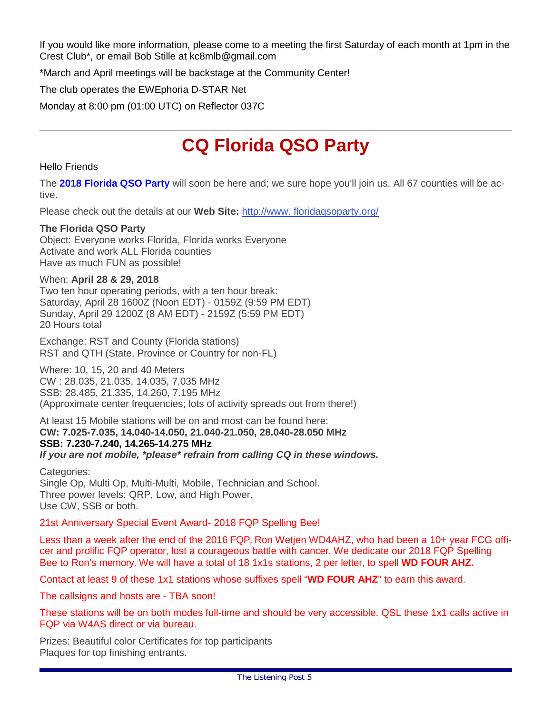If you would like more information, please come to a meeting the first Saturday of each month at 1pm in the Crest Club\*, or email Bob Stille at [kc8mlb@gmail.com](mailto:kc8mlb@gmail.com)

\*March and April meetings will be backstage at the Community Center!

The club operates the EWEphoria D-STAR Net

Monday at 8:00 pm (01:00 UTC) on Reflector 037C

# **CQ Florida QSO Party**

#### Hello Friends

The **2018 Florida QSO Party** will soon be here and; we sure hope you'll join us. All 67 counties will be active.

Please check out the details at our **Web Site:** [http://www. floridaqsoparty.org/](http://www.floridaqsoparty.org/)

#### **The Florida QSO Party**

Object: Everyone works Florida, Florida works Everyone Activate and work ALL Florida counties Have as much FUN as possible!

#### When: **April 28 & 29, 2018**

Two ten hour operating periods, with a ten hour break: Saturday, April 28 1600Z (Noon EDT) - 0159Z (9:59 PM EDT) Sunday, April 29 1200Z (8 AM EDT) - 2159Z (5:59 PM EDT) 20 Hours total

Exchange: RST and County (Florida stations) RST and QTH (State, Province or Country for non-FL)

Where: 10, 15, 20 and 40 Meters CW : 28.035, 21.035, 14.035, 7.035 MHz SSB: 28.485, 21.335, 14.260, 7.195 MHz (Approximate center frequencies; lots of activity spreads out from there!)

At least 15 Mobile stations will be on and most can be found here: **CW: 7.025-7.035, 14.040-14.050, 21.040-21.050, 28.040-28.050 MHz SSB: 7.230-7.240, 14.265-14.275 MHz**

*If you are not mobile, \*please\* refrain from calling CQ in these windows.*

Categories: Single Op, Multi Op, Multi-Multi, Mobile, Technician and School. Three power levels: QRP, Low, and High Power. Use CW, SSB or both.

#### 21st Anniversary Special Event Award- 2018 FQP Spelling Bee!

Less than a week after the end of the 2016 FQP, Ron Wetjen WD4AHZ, who had been a 10+ year FCG officer and prolific FQP operator, lost a courageous battle with cancer. We dedicate our 2018 FQP Spelling Bee to Ron's memory. We will have a total of 18 1x1s stations, 2 per letter, to spell **WD FOUR AHZ.**

Contact at least 9 of these 1x1 stations whose suffixes spell "**WD FOUR AHZ**" to earn this award.

The callsigns and hosts are - TBA soon!

These stations will be on both modes full-time and should be very accessible. QSL these 1x1 calls active in FQP via W4AS direct or via bureau.

Prizes: Beautiful color Certificates for top participants Plaques for top finishing entrants.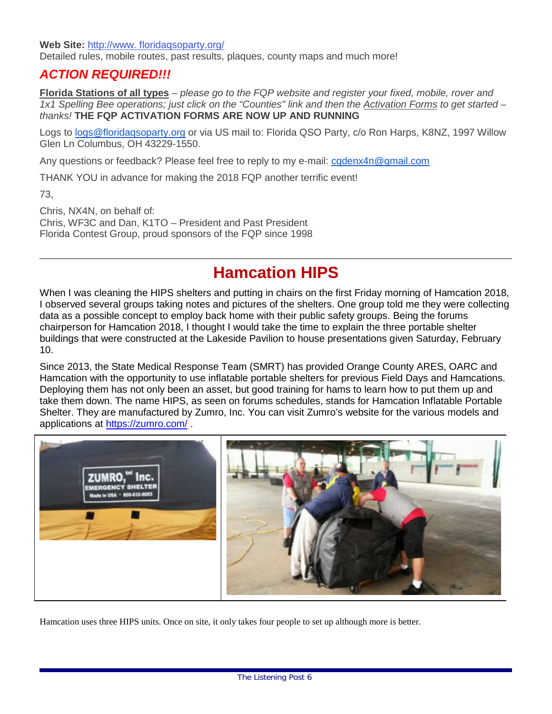**Web Site:** [http://www. floridaqsoparty.org/](http://www.floridaqsoparty.org/) Detailed rules, mobile routes, past results, plaques, county maps and much more!

### *ACTION REQUIRED!!!*

**Florida Stations of all types** – *please go to the FQP website and register your fixed, mobile, rover and 1x1 Spelling Bee operations; just click on the "Counties" link and then the Activation Forms to get started – thanks!* **THE FQP ACTIVATION FORMS ARE NOW UP AND RUNNING**

Logs to [logs@floridaqsoparty.org](mailto:logs@floridaqsoparty.org) or via US mail to: Florida QSO Party, c/o Ron Harps, K8NZ, 1997 Willow Glen Ln Columbus, OH 43229-1550.

Any questions or feedback? Please feel free to reply to my e-mail: [cqdenx4n@gmail.com](mailto:cqdenx4n@gmail.com)

THANK YOU in advance for making the 2018 FQP another terrific event!

73,

Chris, NX4N, on behalf of: Chris, WF3C and Dan, K1TO – President and Past President Florida Contest Group, proud sponsors of the FQP since 1998

### **Hamcation HIPS**

When I was cleaning the HIPS shelters and putting in chairs on the first Friday morning of Hamcation 2018, I observed several groups taking notes and pictures of the shelters. One group told me they were collecting data as a possible concept to employ back home with their public safety groups. Being the forums chairperson for Hamcation 2018, I thought I would take the time to explain the three portable shelter buildings that were constructed at the Lakeside Pavilion to house presentations given Saturday, February 10.

Since 2013, the State Medical Response Team (SMRT) has provided Orange County ARES, OARC and Hamcation with the opportunity to use inflatable portable shelters for previous Field Days and Hamcations. Deploying them has not only been an asset, but good training for hams to learn how to put them up and take them down. The name HIPS, as seen on forums schedules, stands for Hamcation Inflatable Portable Shelter. They are manufactured by Zumro, Inc. You can visit Zumro's website for the various models and applications at<https://zumro.com/> .



Hamcation uses three HIPS units. Once on site, it only takes four people to set up although more is better.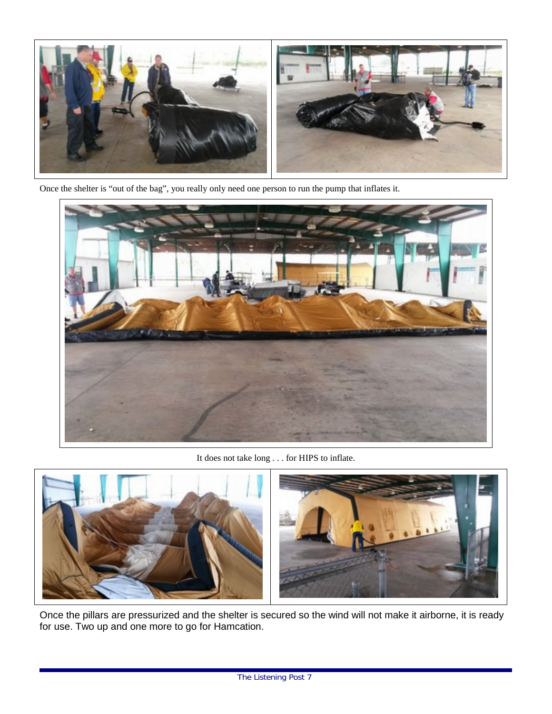

Once the shelter is "out of the bag", you really only need one person to run the pump that inflates it.



It does not take long . . . for HIPS to inflate.



Once the pillars are pressurized and the shelter is secured so the wind will not make it airborne, it is ready for use. Two up and one more to go for Hamcation.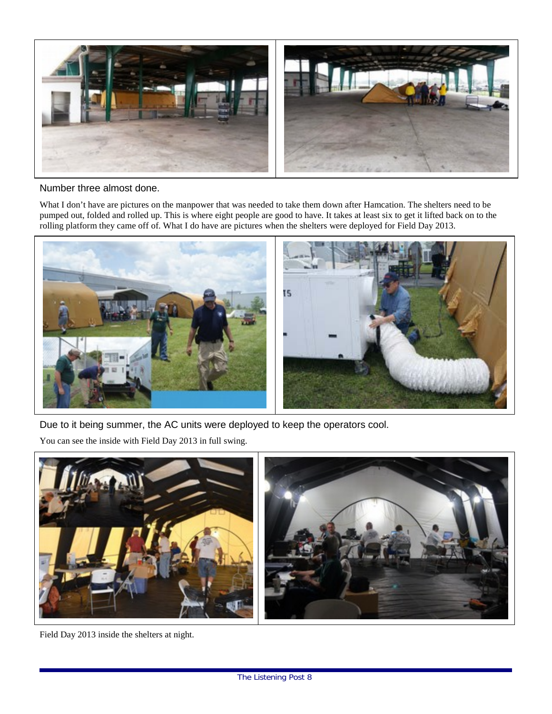

#### Number three almost done.

What I don't have are pictures on the manpower that was needed to take them down after Hamcation. The shelters need to be pumped out, folded and rolled up. This is where eight people are good to have. It takes at least six to get it lifted back on to the rolling platform they came off of. What I do have are pictures when the shelters were deployed for Field Day 2013.



Due to it being summer, the AC units were deployed to keep the operators cool.

You can see the inside with Field Day 2013 in full swing.



Field Day 2013 inside the shelters at night.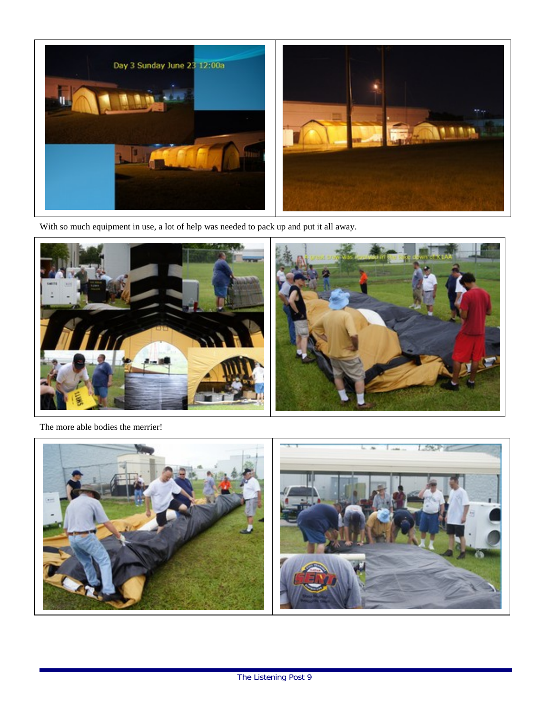

With so much equipment in use, a lot of help was needed to pack up and put it all away.



The more able bodies the merrier!

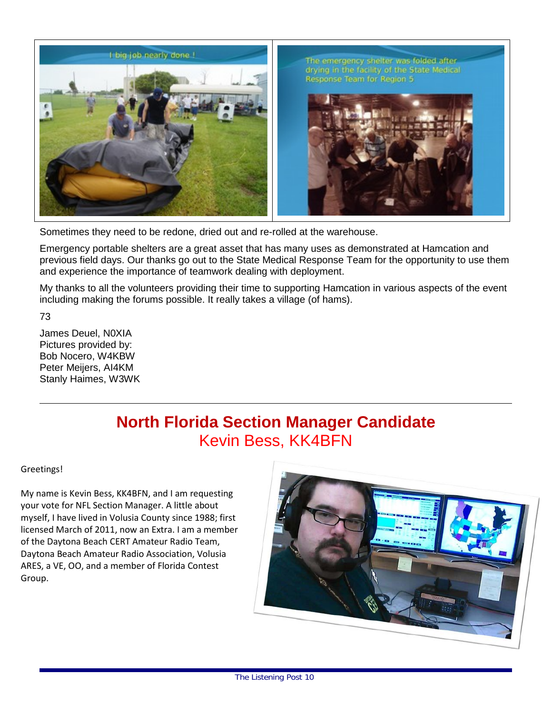

Sometimes they need to be redone, dried out and re-rolled at the warehouse.

Emergency portable shelters are a great asset that has many uses as demonstrated at Hamcation and previous field days. Our thanks go out to the State Medical Response Team for the opportunity to use them and experience the importance of teamwork dealing with deployment.

My thanks to all the volunteers providing their time to supporting Hamcation in various aspects of the event including making the forums possible. It really takes a village (of hams).

73

James Deuel, N0XIA Pictures provided by: Bob Nocero, W4KBW Peter Meijers, AI4KM Stanly Haimes, W3WK

## **North Florida Section Manager Candidate** Kevin Bess, KK4BFN

#### Greetings!

My name is Kevin Bess, KK4BFN, and I am requesting your vote for NFL Section Manager. A little about myself, I have lived in Volusia County since 1988; first licensed March of 2011, now an Extra. I am a member of the Daytona Beach CERT Amateur Radio Team, Daytona Beach Amateur Radio Association, Volusia ARES, a VE, OO, and a member of Florida Contest Group.

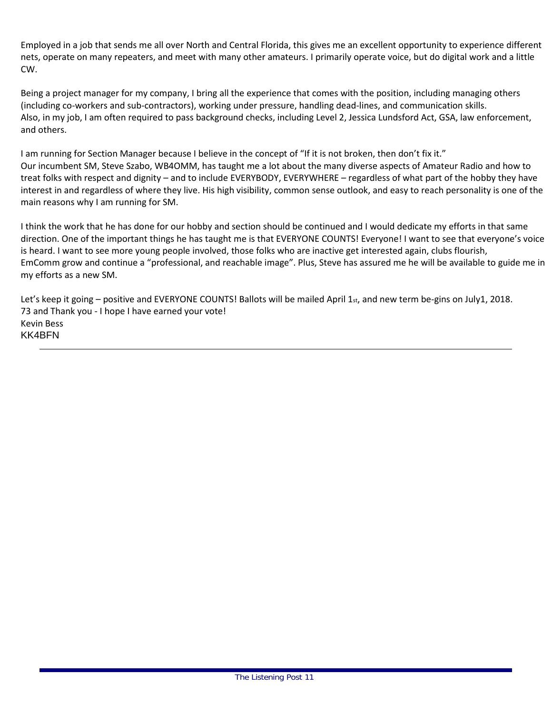Employed in a job that sends me all over North and Central Florida, this gives me an excellent opportunity to experience different nets, operate on many repeaters, and meet with many other amateurs. I primarily operate voice, but do digital work and a little CW.

Being a project manager for my company, I bring all the experience that comes with the position, including managing others (including co-workers and sub-contractors), working under pressure, handling dead-lines, and communication skills. Also, in my job, I am often required to pass background checks, including Level 2, Jessica Lundsford Act, GSA, law enforcement, and others.

I am running for Section Manager because I believe in the concept of "If it is not broken, then don't fix it." Our incumbent SM, Steve Szabo, WB4OMM, has taught me a lot about the many diverse aspects of Amateur Radio and how to treat folks with respect and dignity – and to include EVERYBODY, EVERYWHERE – regardless of what part of the hobby they have interest in and regardless of where they live. His high visibility, common sense outlook, and easy to reach personality is one of the main reasons why I am running for SM.

I think the work that he has done for our hobby and section should be continued and I would dedicate my efforts in that same direction. One of the important things he has taught me is that EVERYONE COUNTS! Everyone! I want to see that everyone's voice is heard. I want to see more young people involved, those folks who are inactive get interested again, clubs flourish, EmComm grow and continue a "professional, and reachable image". Plus, Steve has assured me he will be available to guide me in my efforts as a new SM.

Let's keep it going – positive and EVERYONE COUNTS! Ballots will be mailed April 1st, and new term be-gins on July1, 2018. 73 and Thank you - I hope I have earned your vote! Kevin Bess KK4BFN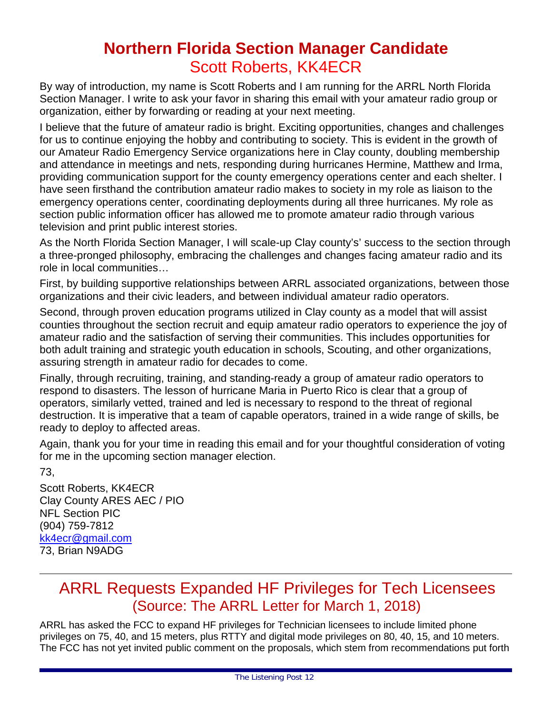### **Northern Florida Section Manager Candidate** Scott Roberts, KK4ECR

By way of introduction, my name is Scott Roberts and I am running for the ARRL North Florida Section Manager. I write to ask your favor in sharing this email with your amateur radio group or organization, either by forwarding or reading at your next meeting.

I believe that the future of amateur radio is bright. Exciting opportunities, changes and challenges for us to continue enjoying the hobby and contributing to society. This is evident in the growth of our Amateur Radio Emergency Service organizations here in Clay county, doubling membership and attendance in meetings and nets, responding during hurricanes Hermine, Matthew and Irma, providing communication support for the county emergency operations center and each shelter. I have seen firsthand the contribution amateur radio makes to society in my role as liaison to the emergency operations center, coordinating deployments during all three hurricanes. My role as section public information officer has allowed me to promote amateur radio through various television and print public interest stories.

As the North Florida Section Manager, I will scale-up Clay county's' success to the section through a three-pronged philosophy, embracing the challenges and changes facing amateur radio and its role in local communities…

First, by building supportive relationships between ARRL associated organizations, between those organizations and their civic leaders, and between individual amateur radio operators.

Second, through proven education programs utilized in Clay county as a model that will assist counties throughout the section recruit and equip amateur radio operators to experience the joy of amateur radio and the satisfaction of serving their communities. This includes opportunities for both adult training and strategic youth education in schools, Scouting, and other organizations, assuring strength in amateur radio for decades to come.

Finally, through recruiting, training, and standing-ready a group of amateur radio operators to respond to disasters. The lesson of hurricane Maria in Puerto Rico is clear that a group of operators, similarly vetted, trained and led is necessary to respond to the threat of regional destruction. It is imperative that a team of capable operators, trained in a wide range of skills, be ready to deploy to affected areas.

Again, thank you for your time in reading this email and for your thoughtful consideration of voting for me in the upcoming section manager election.

73,

Scott Roberts, KK4ECR Clay County ARES AEC / PIO NFL Section PIC (904) 759-7812 [kk4ecr@gmail.com](mailto:kk4ecr@gmail.com) 73, Brian N9ADG

### ARRL Requests Expanded HF Privileges for Tech Licensees (Source: The ARRL Letter for March 1, 2018)

ARRL has asked the FCC to expand HF privileges for Technician licensees to include limited phone privileges on 75, 40, and 15 meters, plus RTTY and digital mode privileges on 80, 40, 15, and 10 meters. The FCC has not yet invited public comment on the proposals, which stem from recommendations put forth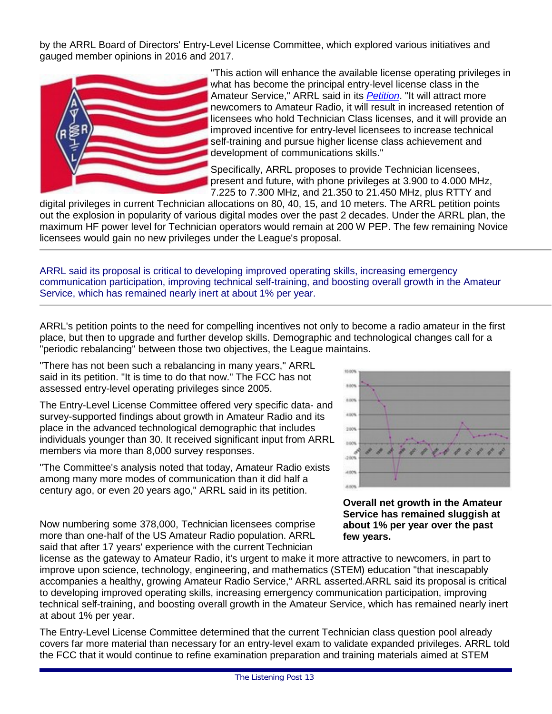by the ARRL Board of Directors' Entry-Level License Committee, which explored various initiatives and gauged member opinions in 2016 and 2017.



"This action will enhance the available license operating privileges in what has become the principal entry-level license class in the Amateur Service," ARRL said in its *[Petition](http://www.arrl.org/files/media/News/2018%20Entry%20Level%20License%20PRM%20FINAL.pdf)*. "It will attract more newcomers to Amateur Radio, it will result in increased retention of licensees who hold Technician Class licenses, and it will provide an improved incentive for entry-level licensees to increase technical self-training and pursue higher license class achievement and development of communications skills."

Specifically, ARRL proposes to provide Technician licensees, present and future, with phone privileges at 3.900 to 4.000 MHz, 7.225 to 7.300 MHz, and 21.350 to 21.450 MHz, plus RTTY and

digital privileges in current Technician allocations on 80, 40, 15, and 10 meters. The ARRL petition points out the explosion in popularity of various digital modes over the past 2 decades. Under the ARRL plan, the maximum HF power level for Technician operators would remain at 200 W PEP. The few remaining Novice licensees would gain no new privileges under the League's proposal.

ARRL said its proposal is critical to developing improved operating skills, increasing emergency communication participation, improving technical self-training, and boosting overall growth in the Amateur Service, which has remained nearly inert at about 1% per year.

ARRL's petition points to the need for compelling incentives not only to become a radio amateur in the first place, but then to upgrade and further develop skills. Demographic and technological changes call for a "periodic rebalancing" between those two objectives, the League maintains.

"There has not been such a rebalancing in many years," ARRL said in its petition. "It is time to do that now." The FCC has not assessed entry-level operating privileges since 2005.

The Entry-Level License Committee offered very specific data- and survey-supported findings about growth in Amateur Radio and its place in the advanced technological demographic that includes individuals younger than 30. It received significant input from ARRL members via more than 8,000 survey responses.

"The Committee's analysis noted that today, Amateur Radio exists among many more modes of communication than it did half a century ago, or even 20 years ago," ARRL said in its petition.

Now numbering some 378,000, Technician licensees comprise more than one-half of the US Amateur Radio population. ARRL said that after 17 years' experience with the current Technician



**Overall net growth in the Amateur Service has remained sluggish at about 1% per year over the past few years.**

license as the gateway to Amateur Radio, it's urgent to make it more attractive to newcomers, in part to improve upon science, technology, engineering, and mathematics (STEM) education "that inescapably accompanies a healthy, growing Amateur Radio Service," ARRL asserted.ARRL said its proposal is critical to developing improved operating skills, increasing emergency communication participation, improving technical self-training, and boosting overall growth in the Amateur Service, which has remained nearly inert at about 1% per year.

The Entry-Level License Committee determined that the current Technician class question pool already covers far more material than necessary for an entry-level exam to validate expanded privileges. ARRL told the FCC that it would continue to refine examination preparation and training materials aimed at STEM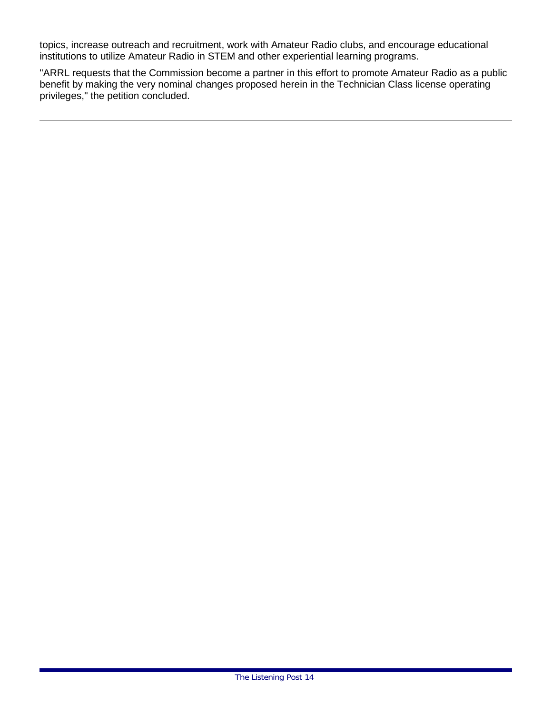topics, increase outreach and recruitment, work with Amateur Radio clubs, and encourage educational institutions to utilize Amateur Radio in STEM and other experiential learning programs.

"ARRL requests that the Commission become a partner in this effort to promote Amateur Radio as a public benefit by making the very nominal changes proposed herein in the Technician Class license operating privileges," the petition concluded.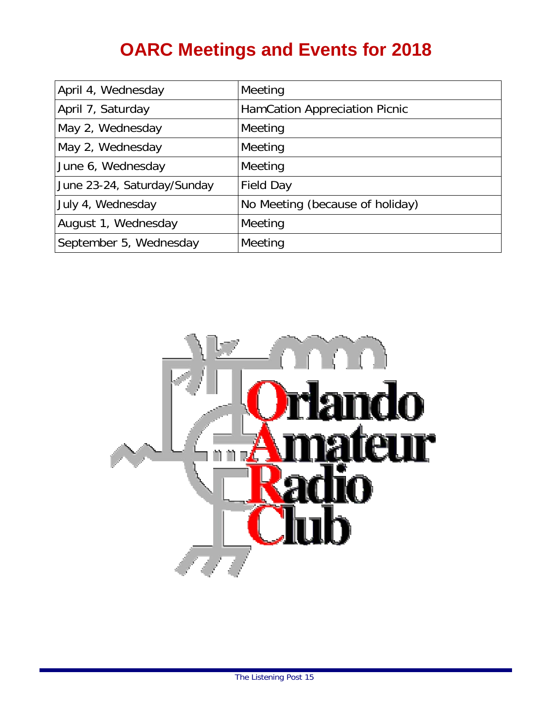# **OARC Meetings and Events for 2018**

| April 4, Wednesday          | Meeting                         |
|-----------------------------|---------------------------------|
| April 7, Saturday           | HamCation Appreciation Picnic   |
| May 2, Wednesday            | Meeting                         |
| May 2, Wednesday            | Meeting                         |
| June 6, Wednesday           | Meeting                         |
| June 23-24, Saturday/Sunday | <b>Field Day</b>                |
| July 4, Wednesday           | No Meeting (because of holiday) |
| August 1, Wednesday         | Meeting                         |
| September 5, Wednesday      | Meeting                         |